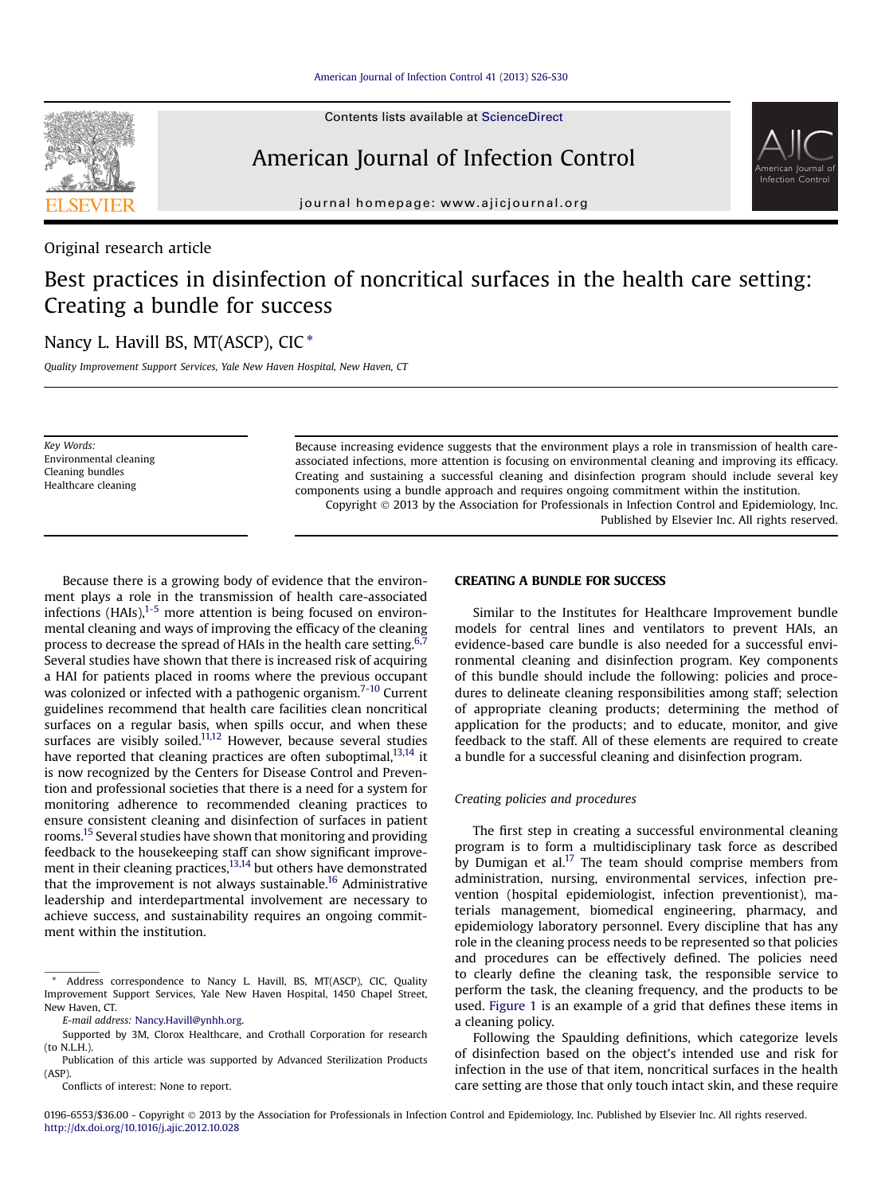Contents lists available at ScienceDirect

# American Journal of Infection Control

journal homepage: [www.ajicjournal.org](http://www.ajicjournal.org)

Original research article

# Best practices in disinfection of noncritical surfaces in the health care setting: Creating a bundle for success

# Nancy L. Havill BS, MT(ASCP), CIC \*

Quality Improvement Support Services, Yale New Haven Hospital, New Haven, CT

Key Words: Environmental cleaning Cleaning bundles Healthcare cleaning

Because increasing evidence suggests that the environment plays a role in transmission of health careassociated infections, more attention is focusing on environmental cleaning and improving its efficacy. Creating and sustaining a successful cleaning and disinfection program should include several key components using a bundle approach and requires ongoing commitment within the institution. Copyright 2013 by the Association for Professionals in Infection Control and Epidemiology, Inc.

Published by Elsevier Inc. All rights reserved.

Because there is a growing body of evidence that the environment plays a role in the transmission of health care-associated infections  $(HAIs)$ ,<sup>1-5</sup> more attention is being focused on environmental cleaning and ways of improving the efficacy of the cleaning process to decrease the spread of HAIs in the health care setting.  $6,7$ Several studies have shown that there is increased risk of acquiring a HAI for patients placed in rooms where the previous occupant was colonized or infected with a pathogenic organism.<sup>7-10</sup> Current guidelines recommend that health care facilities clean noncritical surfaces on a regular basis, when spills occur, and when these surfaces are visibly soiled.<sup>11,12</sup> However, because several studies have reported that cleaning practices are often suboptimal,<sup>[13,14](#page-4-0)</sup> it is now recognized by the Centers for Disease Control and Prevention and professional societies that there is a need for a system for monitoring adherence to recommended cleaning practices to ensure consistent cleaning and disinfection of surfaces in patient rooms.[15](#page-4-0) Several studies have shown that monitoring and providing feedback to the housekeeping staff can show significant improvement in their cleaning practices,<sup>13,14</sup> but others have demonstrated that the improvement is not always sustainable.<sup>[16](#page-4-0)</sup> Administrative leadership and interdepartmental involvement are necessary to achieve success, and sustainability requires an ongoing commitment within the institution.

E-mail address: [Nancy.Havill@ynhh.org](mailto:Nancy.Havill@ynhh.org).

Conflicts of interest: None to report.

Similar to the Institutes for Healthcare Improvement bundle models for central lines and ventilators to prevent HAIs, an evidence-based care bundle is also needed for a successful environmental cleaning and disinfection program. Key components of this bundle should include the following: policies and procedures to delineate cleaning responsibilities among staff; selection of appropriate cleaning products; determining the method of application for the products; and to educate, monitor, and give feedback to the staff. All of these elements are required to create a bundle for a successful cleaning and disinfection program.

## Creating policies and procedures

The first step in creating a successful environmental cleaning program is to form a multidisciplinary task force as described by Dumigan et al.<sup>17</sup> The team should comprise members from administration, nursing, environmental services, infection prevention (hospital epidemiologist, infection preventionist), materials management, biomedical engineering, pharmacy, and epidemiology laboratory personnel. Every discipline that has any role in the cleaning process needs to be represented so that policies and procedures can be effectively defined. The policies need to clearly define the cleaning task, the responsible service to perform the task, the cleaning frequency, and the products to be used. [Figure 1](#page-1-0) is an example of a grid that defines these items in a cleaning policy.

Following the Spaulding definitions, which categorize levels of disinfection based on the object's intended use and risk for infection in the use of that item, noncritical surfaces in the health care setting are those that only touch intact skin, and these require





Address correspondence to Nancy L. Havill, BS, MT(ASCP), CIC, Quality Improvement Support Services, Yale New Haven Hospital, 1450 Chapel Street, New Haven, CT.

Supported by 3M, Clorox Healthcare, and Crothall Corporation for research (to N.L.H.).

Publication of this article was supported by Advanced Sterilization Products (ASP).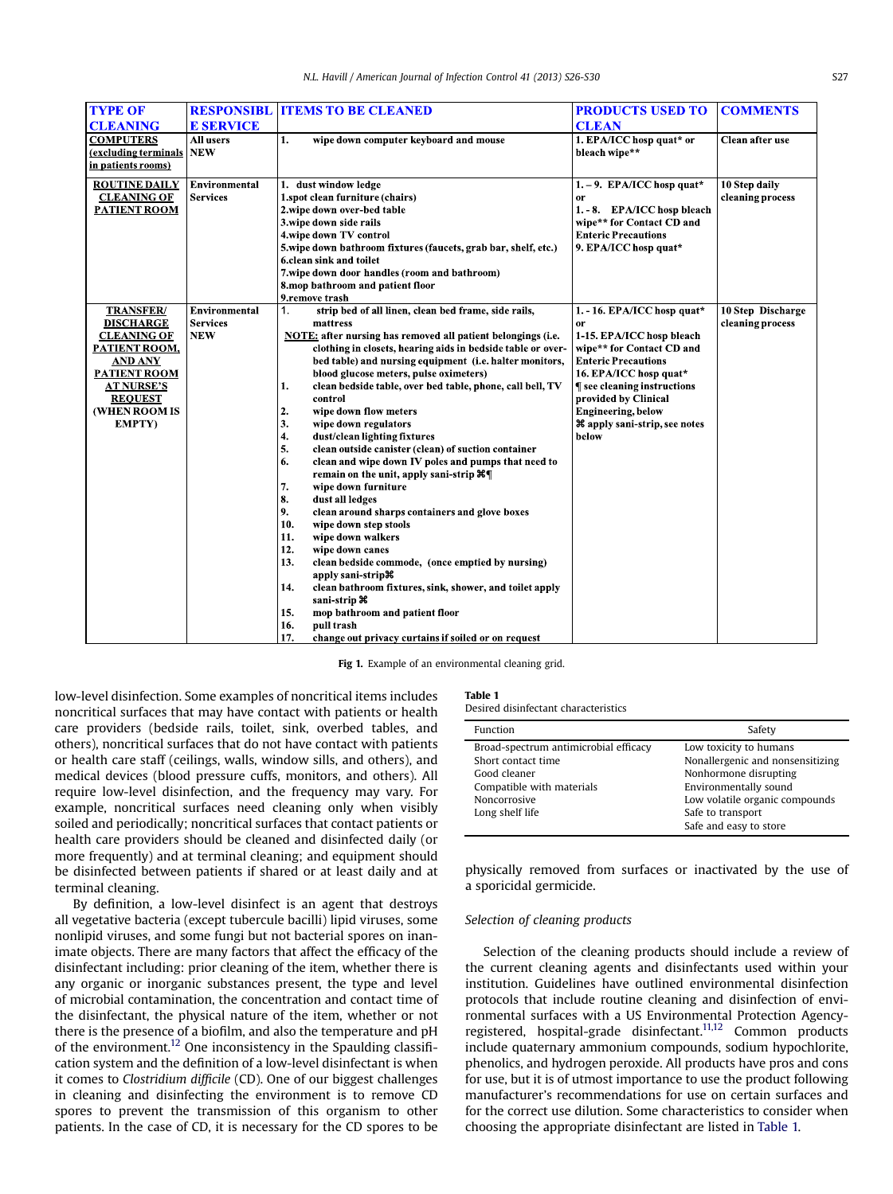<span id="page-1-0"></span>

| <b>TYPE OF</b><br><b>CLEANING</b>                                                                                                                                                             | <b>E SERVICE</b>                               | <b>RESPONSIBL ITEMS TO BE CLEANED</b>                                                                                                                                                                                                                                                                                                                                                                                                                                                                                                                                                                                                                                                                                                                                                                                                                                                                                                                                                                                                                                                                                                                                                      | <b>PRODUCTS USED TO</b><br><b>CLEAN</b>                                                                                                                                                                                                                                                                          | <b>COMMENTS</b>                       |
|-----------------------------------------------------------------------------------------------------------------------------------------------------------------------------------------------|------------------------------------------------|--------------------------------------------------------------------------------------------------------------------------------------------------------------------------------------------------------------------------------------------------------------------------------------------------------------------------------------------------------------------------------------------------------------------------------------------------------------------------------------------------------------------------------------------------------------------------------------------------------------------------------------------------------------------------------------------------------------------------------------------------------------------------------------------------------------------------------------------------------------------------------------------------------------------------------------------------------------------------------------------------------------------------------------------------------------------------------------------------------------------------------------------------------------------------------------------|------------------------------------------------------------------------------------------------------------------------------------------------------------------------------------------------------------------------------------------------------------------------------------------------------------------|---------------------------------------|
| <b>COMPUTERS</b><br>(excluding terminals NEW<br>in patients rooms)                                                                                                                            | All users                                      | $\overline{1}$ .<br>wipe down computer keyboard and mouse                                                                                                                                                                                                                                                                                                                                                                                                                                                                                                                                                                                                                                                                                                                                                                                                                                                                                                                                                                                                                                                                                                                                  | 1. EPA/ICC hosp quat* or<br>bleach wipe**                                                                                                                                                                                                                                                                        | Clean after use                       |
| <b>ROUTINE DAILY</b><br><b>CLEANING OF</b><br><b>PATIENT ROOM</b>                                                                                                                             | <b>Environmental</b><br><b>Services</b>        | 1. dust window ledge<br>1.spot clean furniture (chairs)<br>2.wipe down over-bed table<br>3.wipe down side rails<br>4.wipe down TV control<br>5.wipe down bathroom fixtures (faucets, grab bar, shelf, etc.)<br>6.clean sink and toilet<br>7.wipe down door handles (room and bathroom)<br>8.mop bathroom and patient floor<br>9.remove trash                                                                                                                                                                                                                                                                                                                                                                                                                                                                                                                                                                                                                                                                                                                                                                                                                                               | $1. - 9.$ EPA/ICC hosp quat*<br>or<br>1. - 8. EPA/ICC hosp bleach<br>wipe** for Contact CD and<br><b>Enteric Precautions</b><br>9. EPA/ICC hosp quat*                                                                                                                                                            | 10 Step daily<br>cleaning process     |
| <b>TRANSFER/</b><br><b>DISCHARGE</b><br><b>CLEANING OF</b><br>PATIENT ROOM,<br><b>AND ANY</b><br><b>PATIENT ROOM</b><br><b>AT NURSE'S</b><br><b>REQUEST</b><br>(WHEN ROOM IS<br><b>EMPTY)</b> | Environmental<br><b>Services</b><br><b>NEW</b> | strip bed of all linen, clean bed frame, side rails,<br>1.<br>mattress<br>NOTE: after nursing has removed all patient belongings (i.e.<br>clothing in closets, hearing aids in bedside table or over-<br>bed table) and nursing equipment (i.e. halter monitors,<br>blood glucose meters, pulse oximeters)<br>clean bedside table, over bed table, phone, call bell, TV<br>1.<br>control<br>wipe down flow meters<br>2.<br>wipe down regulators<br>3.<br>4.<br>dust/clean lighting fixtures<br>5.<br>clean outside canister (clean) of suction container<br>6.<br>clean and wipe down IV poles and pumps that need to<br>remain on the unit, apply sani-strip $\mathcal{H}\P$<br>wipe down furniture<br>7.<br>8.<br>dust all ledges<br>9.<br>clean around sharps containers and glove boxes<br>10.<br>wipe down step stools<br>11.<br>wipe down walkers<br>12.<br>wipe down canes<br>13.<br>clean bedside commode, (once emptied by nursing)<br>apply sani-strip%<br>14.<br>clean bathroom fixtures, sink, shower, and toilet apply<br>sani-strip <sub>8</sub><br>mop bathroom and patient floor<br>15.<br>16.<br>pull trash<br>17.<br>change out privacy curtains if soiled or on request | 1. - 16. EPA/ICC hosp quat*<br>or<br>1-15. EPA/ICC hosp bleach<br>wipe** for Contact CD and<br><b>Enteric Precautions</b><br>16. EPA/ICC hosp quat*<br><b>If</b> see cleaning instructions<br>provided by Clinical<br><b>Engineering</b> , below<br><b><math>\Re</math></b> apply sani-strip, see notes<br>below | 10 Step Discharge<br>cleaning process |

Fig 1. Example of an environmental cleaning grid.

low-level disinfection. Some examples of noncritical items includes noncritical surfaces that may have contact with patients or health care providers (bedside rails, toilet, sink, overbed tables, and others), noncritical surfaces that do not have contact with patients or health care staff (ceilings, walls, window sills, and others), and medical devices (blood pressure cuffs, monitors, and others). All require low-level disinfection, and the frequency may vary. For example, noncritical surfaces need cleaning only when visibly soiled and periodically; noncritical surfaces that contact patients or health care providers should be cleaned and disinfected daily (or more frequently) and at terminal cleaning; and equipment should be disinfected between patients if shared or at least daily and at terminal cleaning.

By definition, a low-level disinfect is an agent that destroys all vegetative bacteria (except tubercule bacilli) lipid viruses, some nonlipid viruses, and some fungi but not bacterial spores on inanimate objects. There are many factors that affect the efficacy of the disinfectant including: prior cleaning of the item, whether there is any organic or inorganic substances present, the type and level of microbial contamination, the concentration and contact time of the disinfectant, the physical nature of the item, whether or not there is the presence of a biofilm, and also the temperature and pH of the environment.<sup>[12](#page-4-0)</sup> One inconsistency in the Spaulding classification system and the definition of a low-level disinfectant is when it comes to Clostridium difficile (CD). One of our biggest challenges in cleaning and disinfecting the environment is to remove CD spores to prevent the transmission of this organism to other patients. In the case of CD, it is necessary for the CD spores to be

## Table 1

|  | Desired disinfectant characteristics |
|--|--------------------------------------|
|  |                                      |

| Function                              | Safety                           |
|---------------------------------------|----------------------------------|
| Broad-spectrum antimicrobial efficacy | Low toxicity to humans           |
| Short contact time                    | Nonallergenic and nonsensitizing |
| Good cleaner                          | Nonhormone disrupting            |
| Compatible with materials             | Environmentally sound            |
| Noncorrosive                          | Low volatile organic compounds   |
| Long shelf life                       | Safe to transport                |
|                                       | Safe and easy to store           |

physically removed from surfaces or inactivated by the use of a sporicidal germicide.

# Selection of cleaning products

Selection of the cleaning products should include a review of the current cleaning agents and disinfectants used within your institution. Guidelines have outlined environmental disinfection protocols that include routine cleaning and disinfection of environmental surfaces with a US Environmental Protection Agency-registered, hospital-grade disinfectant.<sup>[11,12](#page-4-0)</sup> Common products include quaternary ammonium compounds, sodium hypochlorite, phenolics, and hydrogen peroxide. All products have pros and cons for use, but it is of utmost importance to use the product following manufacturer's recommendations for use on certain surfaces and for the correct use dilution. Some characteristics to consider when choosing the appropriate disinfectant are listed in Table 1.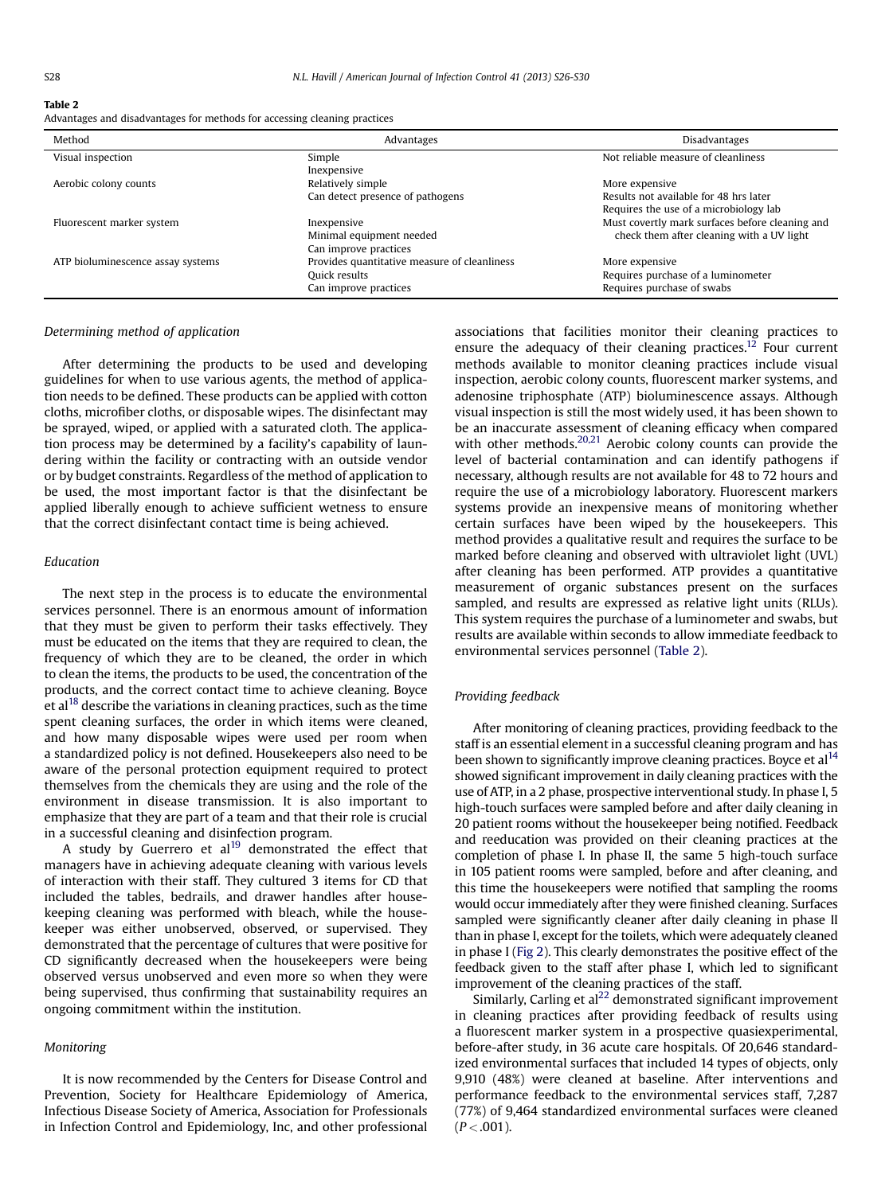| . a | -24 | וחו |  |  |
|-----|-----|-----|--|--|
|-----|-----|-----|--|--|

Advantages and disadvantages for methods for accessing cleaning practices

| Method                            | Advantages                                   | Disadvantages                                   |
|-----------------------------------|----------------------------------------------|-------------------------------------------------|
| Visual inspection                 | Simple                                       | Not reliable measure of cleanliness             |
|                                   | Inexpensive                                  |                                                 |
| Aerobic colony counts             | Relatively simple                            | More expensive                                  |
|                                   | Can detect presence of pathogens             | Results not available for 48 hrs later          |
|                                   |                                              | Requires the use of a microbiology lab          |
| Fluorescent marker system         | Inexpensive                                  | Must covertly mark surfaces before cleaning and |
|                                   | Minimal equipment needed                     | check them after cleaning with a UV light       |
|                                   | Can improve practices                        |                                                 |
| ATP bioluminescence assay systems | Provides quantitative measure of cleanliness | More expensive                                  |
|                                   | Quick results                                | Requires purchase of a luminometer              |
|                                   | Can improve practices                        | Requires purchase of swabs                      |

#### Determining method of application

After determining the products to be used and developing guidelines for when to use various agents, the method of application needs to be defined. These products can be applied with cotton cloths, microfiber cloths, or disposable wipes. The disinfectant may be sprayed, wiped, or applied with a saturated cloth. The application process may be determined by a facility's capability of laundering within the facility or contracting with an outside vendor or by budget constraints. Regardless of the method of application to be used, the most important factor is that the disinfectant be applied liberally enough to achieve sufficient wetness to ensure that the correct disinfectant contact time is being achieved.

#### Education

The next step in the process is to educate the environmental services personnel. There is an enormous amount of information that they must be given to perform their tasks effectively. They must be educated on the items that they are required to clean, the frequency of which they are to be cleaned, the order in which to clean the items, the products to be used, the concentration of the products, and the correct contact time to achieve cleaning. Boyce et al<sup>[18](#page-4-0)</sup> describe the variations in cleaning practices, such as the time spent cleaning surfaces, the order in which items were cleaned, and how many disposable wipes were used per room when a standardized policy is not defined. Housekeepers also need to be aware of the personal protection equipment required to protect themselves from the chemicals they are using and the role of the environment in disease transmission. It is also important to emphasize that they are part of a team and that their role is crucial in a successful cleaning and disinfection program.

A study by Guerrero et  $al^{19}$  $al^{19}$  $al^{19}$  demonstrated the effect that managers have in achieving adequate cleaning with various levels of interaction with their staff. They cultured 3 items for CD that included the tables, bedrails, and drawer handles after housekeeping cleaning was performed with bleach, while the housekeeper was either unobserved, observed, or supervised. They demonstrated that the percentage of cultures that were positive for CD significantly decreased when the housekeepers were being observed versus unobserved and even more so when they were being supervised, thus confirming that sustainability requires an ongoing commitment within the institution.

### Monitoring

It is now recommended by the Centers for Disease Control and Prevention, Society for Healthcare Epidemiology of America, Infectious Disease Society of America, Association for Professionals in Infection Control and Epidemiology, Inc, and other professional associations that facilities monitor their cleaning practices to ensure the adequacy of their cleaning practices.<sup>12</sup> Four current methods available to monitor cleaning practices include visual inspection, aerobic colony counts, fluorescent marker systems, and adenosine triphosphate (ATP) bioluminescence assays. Although visual inspection is still the most widely used, it has been shown to be an inaccurate assessment of cleaning efficacy when compared with other methods.<sup>20,21</sup> Aerobic colony counts can provide the level of bacterial contamination and can identify pathogens if necessary, although results are not available for 48 to 72 hours and require the use of a microbiology laboratory. Fluorescent markers systems provide an inexpensive means of monitoring whether certain surfaces have been wiped by the housekeepers. This method provides a qualitative result and requires the surface to be marked before cleaning and observed with ultraviolet light (UVL) after cleaning has been performed. ATP provides a quantitative measurement of organic substances present on the surfaces sampled, and results are expressed as relative light units (RLUs). This system requires the purchase of a luminometer and swabs, but results are available within seconds to allow immediate feedback to environmental services personnel (Table 2).

### Providing feedback

After monitoring of cleaning practices, providing feedback to the staff is an essential element in a successful cleaning program and has been shown to significantly improve cleaning practices. Boyce et al<sup>14</sup> showed significant improvement in daily cleaning practices with the use of ATP, in a 2 phase, prospective interventional study. In phase I, 5 high-touch surfaces were sampled before and after daily cleaning in 20 patient rooms without the housekeeper being notified. Feedback and reeducation was provided on their cleaning practices at the completion of phase I. In phase II, the same 5 high-touch surface in 105 patient rooms were sampled, before and after cleaning, and this time the housekeepers were notified that sampling the rooms would occur immediately after they were finished cleaning. Surfaces sampled were significantly cleaner after daily cleaning in phase II than in phase I, except for the toilets, which were adequately cleaned in phase I ([Fig 2](#page-3-0)). This clearly demonstrates the positive effect of the feedback given to the staff after phase I, which led to significant improvement of the cleaning practices of the staff.

Similarly, Carling et  $al^{22}$  demonstrated significant improvement in cleaning practices after providing feedback of results using a fluorescent marker system in a prospective quasiexperimental, before-after study, in 36 acute care hospitals. Of 20,646 standardized environmental surfaces that included 14 types of objects, only 9,910 (48%) were cleaned at baseline. After interventions and performance feedback to the environmental services staff, 7,287 (77%) of 9,464 standardized environmental surfaces were cleaned  $(P < .001)$ .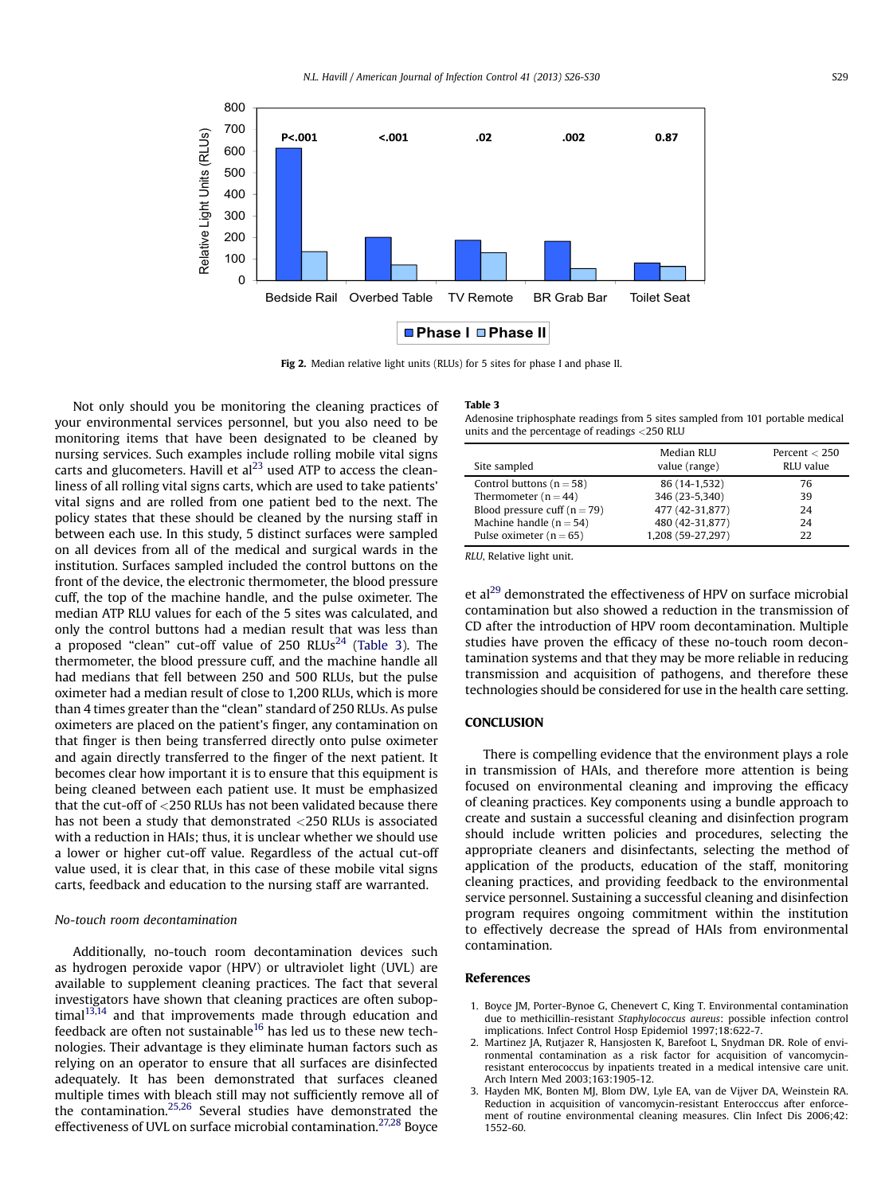<span id="page-3-0"></span>

Fig 2. Median relative light units (RLUs) for 5 sites for phase I and phase II.

Not only should you be monitoring the cleaning practices of your environmental services personnel, but you also need to be monitoring items that have been designated to be cleaned by nursing services. Such examples include rolling mobile vital signs carts and glucometers. Havill et al $^{23}$  used ATP to access the cleanliness of all rolling vital signs carts, which are used to take patients' vital signs and are rolled from one patient bed to the next. The policy states that these should be cleaned by the nursing staff in between each use. In this study, 5 distinct surfaces were sampled on all devices from all of the medical and surgical wards in the institution. Surfaces sampled included the control buttons on the front of the device, the electronic thermometer, the blood pressure cuff, the top of the machine handle, and the pulse oximeter. The median ATP RLU values for each of the 5 sites was calculated, and only the control buttons had a median result that was less than a proposed "clean" cut-off value of 250  $RLUs^{24}$  $RLUs^{24}$  $RLUs^{24}$  (Table 3). The thermometer, the blood pressure cuff, and the machine handle all had medians that fell between 250 and 500 RLUs, but the pulse oximeter had a median result of close to 1,200 RLUs, which is more than 4 times greater than the "clean" standard of 250 RLUs. As pulse oximeters are placed on the patient's finger, any contamination on that finger is then being transferred directly onto pulse oximeter and again directly transferred to the finger of the next patient. It becomes clear how important it is to ensure that this equipment is being cleaned between each patient use. It must be emphasized that the cut-off of <250 RLUs has not been validated because there has not been a study that demonstrated <250 RLUs is associated with a reduction in HAIs; thus, it is unclear whether we should use a lower or higher cut-off value. Regardless of the actual cut-off value used, it is clear that, in this case of these mobile vital signs carts, feedback and education to the nursing staff are warranted.

#### No-touch room decontamination

Additionally, no-touch room decontamination devices such as hydrogen peroxide vapor (HPV) or ultraviolet light (UVL) are available to supplement cleaning practices. The fact that several investigators have shown that cleaning practices are often subop- $timal<sup>13,14</sup>$  $timal<sup>13,14</sup>$  $timal<sup>13,14</sup>$  and that improvements made through education and feedback are often not sustainable<sup>[16](#page-4-0)</sup> has led us to these new technologies. Their advantage is they eliminate human factors such as relying on an operator to ensure that all surfaces are disinfected adequately. It has been demonstrated that surfaces cleaned multiple times with bleach still may not sufficiently remove all of the contamination[.25,26](#page-4-0) Several studies have demonstrated the effectiveness of UVL on surface microbial contamination.<sup>[27,28](#page-4-0)</sup> Boyce

Adenosine triphosphate readings from 5 sites sampled from 101 portable medical units and the percentage of readings <250 RLU

| Site sampled                   | Median RLU<br>value (range) | Percent $<$ 250<br>RLU value |
|--------------------------------|-----------------------------|------------------------------|
| Control buttons ( $n = 58$ )   | 86 (14-1,532)               | 76                           |
| Thermometer $(n = 44)$         | 346 (23-5,340)              | 39                           |
| Blood pressure cuff $(n = 79)$ | 477 (42-31,877)             | 24                           |
| Machine handle $(n = 54)$      | 480 (42-31,877)             | 24                           |
| Pulse oximeter $(n = 65)$      | 1,208 (59-27,297)           | 22                           |

RLU, Relative light unit.

et al<sup>29</sup> demonstrated the effectiveness of HPV on surface microbial contamination but also showed a reduction in the transmission of CD after the introduction of HPV room decontamination. Multiple studies have proven the efficacy of these no-touch room decontamination systems and that they may be more reliable in reducing transmission and acquisition of pathogens, and therefore these technologies should be considered for use in the health care setting.

### **CONCLUSION**

There is compelling evidence that the environment plays a role in transmission of HAIs, and therefore more attention is being focused on environmental cleaning and improving the efficacy of cleaning practices. Key components using a bundle approach to create and sustain a successful cleaning and disinfection program should include written policies and procedures, selecting the appropriate cleaners and disinfectants, selecting the method of application of the products, education of the staff, monitoring cleaning practices, and providing feedback to the environmental service personnel. Sustaining a successful cleaning and disinfection program requires ongoing commitment within the institution to effectively decrease the spread of HAIs from environmental contamination.

- 1. Boyce JM, Porter-Bynoe G, Chenevert C, King T. Environmental contamination due to methicillin-resistant Staphylococcus aureus: possible infection control implications. Infect Control Hosp Epidemiol 1997;18:622-7.
- 2. Martinez JA, Rutjazer R, Hansjosten K, Barefoot L, Snydman DR. Role of environmental contamination as a risk factor for acquisition of vancomycinresistant enterococcus by inpatients treated in a medical intensive care unit. Arch Intern Med 2003;163:1905-12.
- 3. Hayden MK, Bonten MJ, Blom DW, Lyle EA, van de Vijver DA, Weinstein RA. Reduction in acquisition of vancomycin-resistant Enterocccus after enforcement of routine environmental cleaning measures. Clin Infect Dis 2006;42: 1552-60.